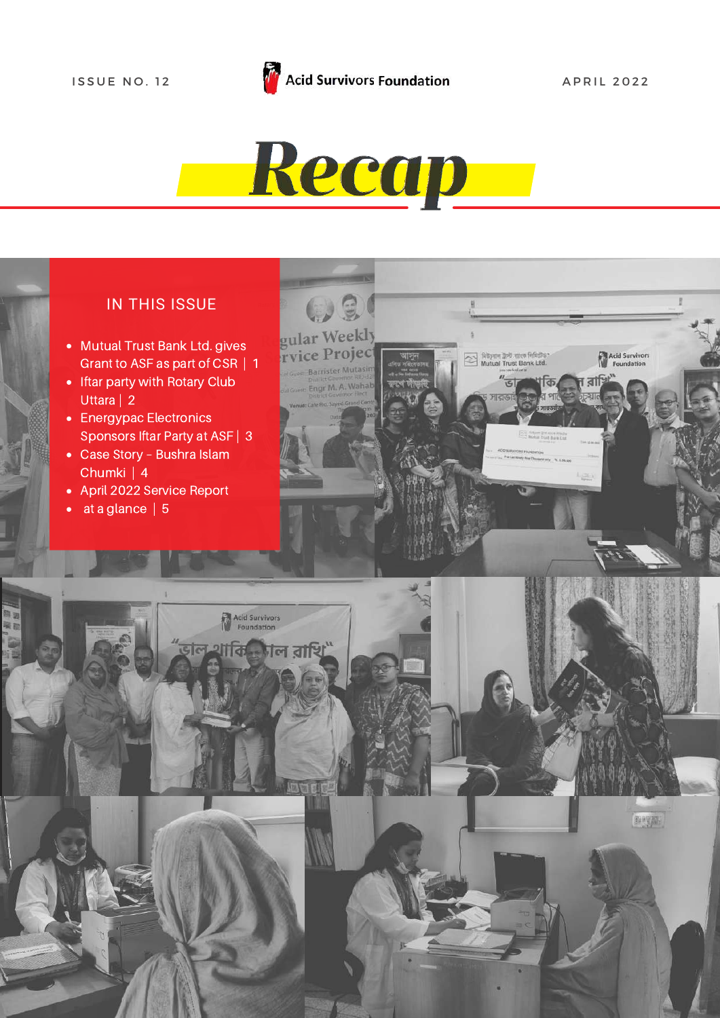# Recap

#### IN THIS ISSUE

- Mutual Trust Bank Ltd. gives Grant to ASF as part of CSR | 1
- Iftar party with Rotary Club Uttara | 2
- Energypac Electronics Sponsors Iftar Party at ASF | 3
- Case Story Bushra Islam Chumki | 4
- April 2022 Service Report
- $\bullet$  at a glance | 5



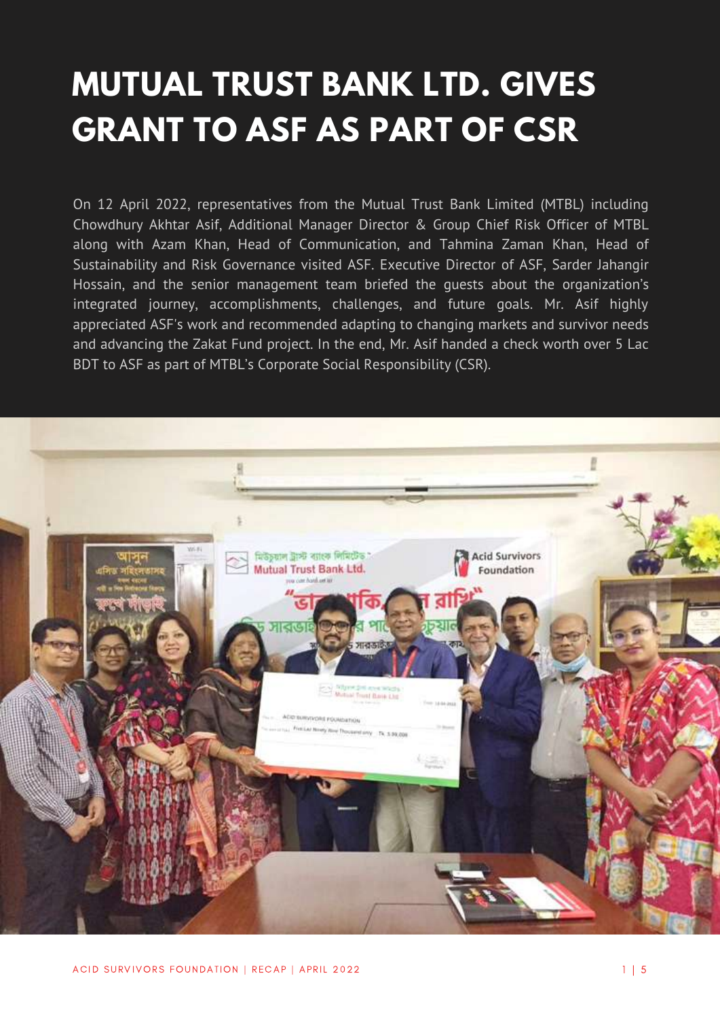## **MUTUAL TRUST BANK LTD. GIVES GRANT TO ASF AS PART OF CSR**

On 12 April 2022, representatives from the Mutual Trust Bank Limited (MTBL) including Chowdhury Akhtar Asif, Additional Manager Director & Group Chief Risk Officer of MTBL along with Azam Khan, Head of Communication, and Tahmina Zaman Khan, Head of Sustainability and Risk Governance visited ASF. Executive Director of ASF, Sarder Jahangir Hossain, and the senior management team briefed the guests about the organization's integrated journey, accomplishments, challenges, and future goals. Mr. Asif highly appreciated ASF's work and recommended adapting to changing markets and survivor needs and advancing the Zakat Fund project. In the end, Mr. Asif handed a check worth over 5 Lac BDT to ASF as part of MTBL's Corporate Social Responsibility (CSR).

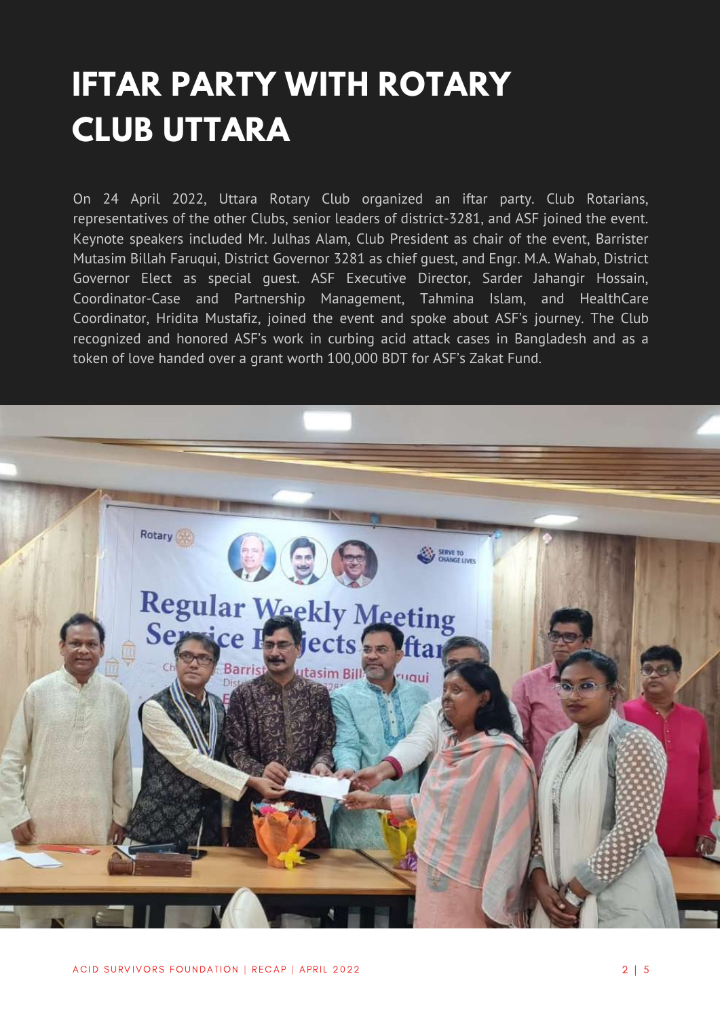## **IFTAR PARTY WITH ROTARY CLUB UTTARA**

On 24 April 2022, Uttara Rotary Club organized an iftar party. Club Rotarians, representatives of the other Clubs, senior leaders of district-3281, and ASF joined the event. Keynote speakers included Mr. Julhas Alam, Club President as chair of the event, Barrister Mutasim Billah Faruqui, District Governor 3281 as chief guest, and Engr. M.A. Wahab, District Governor Elect as special guest. ASF Executive Director, Sarder Jahangir Hossain, Coordinator-Case and Partnership Management, Tahmina Islam, and HealthCare Coordinator, Hridita Mustafiz, joined the event and spoke about ASF's journey. The Club recognized and honored ASF's work in curbing acid attack cases in Bangladesh and as a token of love handed over a grant worth 100,000 BDT for ASF's Zakat Fund.

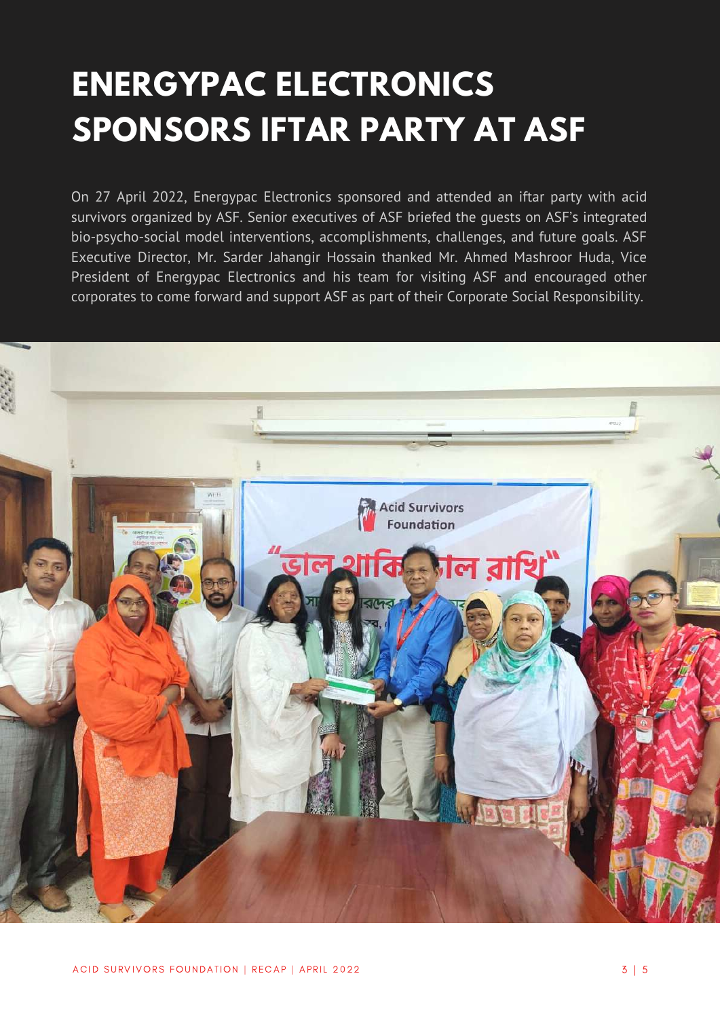## **ENERGYPAC ELECTRONICS SPONSORS IFTAR PARTY AT ASF**

On 27 April 2022, Energypac Electronics sponsored and attended an iftar party with acid survivors organized by ASF. Senior executives of ASF briefed the guests on ASF's integrated bio-psycho-social model interventions, accomplishments, challenges, and future goals. ASF Executive Director, Mr. Sarder Jahangir Hossain thanked Mr. Ahmed Mashroor Huda, Vice President of Energypac Electronics and his team for visiting ASF and encouraged other corporates to come forward and support ASF as part of their Corporate Social Responsibility.

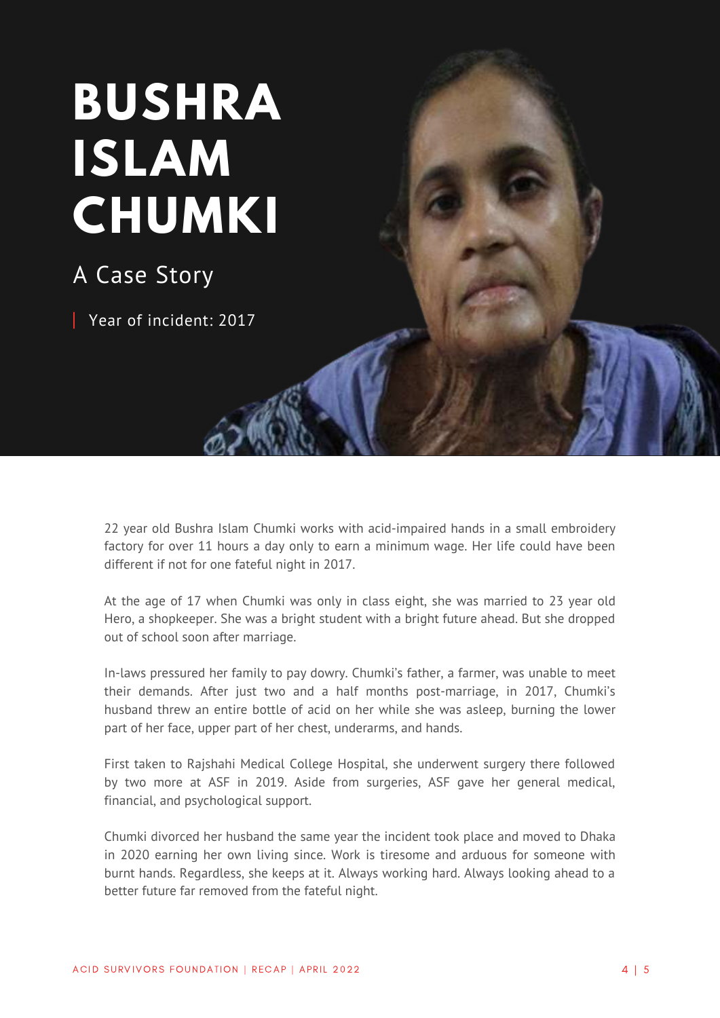# **[BUSHRA](https://acidsurvivors.org/sanjida-akter-bina/) [ISLAM](https://acidsurvivors.org/sanjida-akter-bina/) [CHUMKI](https://acidsurvivors.org/sanjida-akter-bina/)**

### A Case Story

Year of incident: 2017

22 year old Bushra Islam Chumki works with acid-impaired hands in a small embroidery factory for over 11 hours a day only to earn a minimum wage. Her life could have been different if not for one fateful night in 2017.

At the age of 17 when Chumki was only in class eight, she was married to 23 year old Hero, a shopkeeper. She was a bright student with a bright future ahead. But she dropped out of school soon after marriage.

In-laws pressured her family to pay dowry. Chumki's father, a farmer, was unable to meet their demands. After just two and a half months post-marriage, in 2017, Chumki's husband threw an entire bottle of acid on her while she was asleep, burning the lower part of her face, upper part of her chest, underarms, and hands.

First taken to Rajshahi Medical College Hospital, she underwent surgery there followed by two more at ASF in 2019. Aside from surgeries, ASF gave her general medical, financial, and psychological support.

Chumki divorced her husband the same year the incident took place and moved to Dhaka in 2020 earning her own living since. Work is tiresome and arduous for someone with burnt hands. Regardless, she keeps at it. Always working hard. Always looking ahead to a better future far removed from the fateful night.